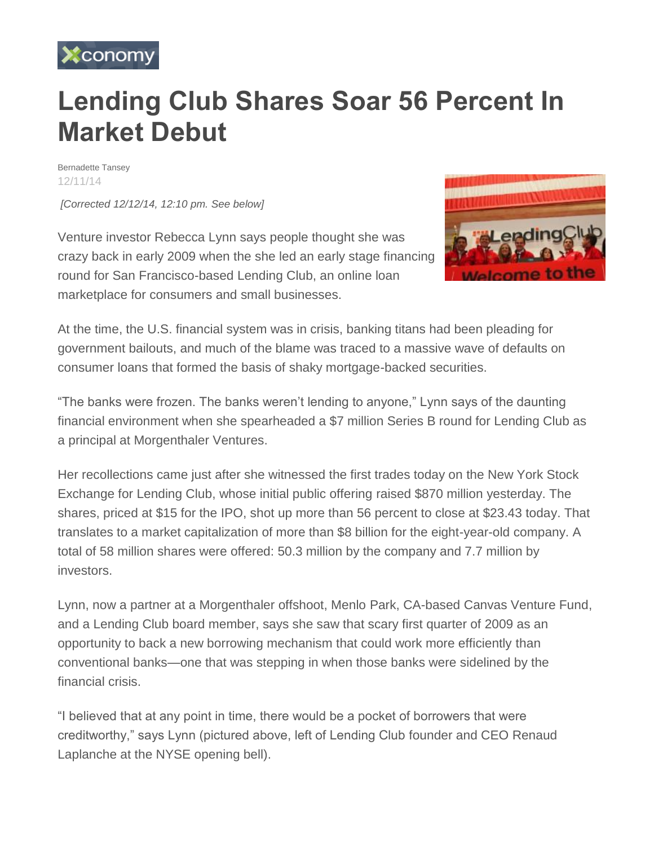

## **Lending Club Shares Soar 56 Percent In Market Debut**

Bernadette Tansey [12/11/14](http://www.xconomy.com/archives/?xyear=2014&month=12&xday=11)

*[Corrected 12/12/14, 12:10 pm. See below]*

Venture investor Rebecca Lynn says people thought she was crazy back in early 2009 when the she led an early stage financing round for San Francisco-based Lending Club, an online loan marketplace for consumers and small businesses.



At the time, the U.S. financial system was in crisis, banking titans had been pleading for government bailouts, and much of the blame was traced to a massive wave of defaults on consumer loans that formed the basis of shaky mortgage-backed securities.

"The banks were frozen. The banks weren't lending to anyone," Lynn says of the daunting financial environment when she spearheaded a \$7 million Series B round for Lending Club as a principal at Morgenthaler Ventures.

Her recollections came just after she witnessed the first trades today on the New York Stock Exchange for Lending Club, whose initial public offering raised \$870 million yesterday. The shares, priced at \$15 for the IPO, shot up more than 56 percent to close at \$23.43 today. That translates to a market capitalization of more than \$8 billion for the eight-year-old company. A total of 58 million shares were offered: 50.3 million by the company and 7.7 million by investors.

Lynn, now a partner at a Morgenthaler offshoot, Menlo Park, CA-based Canvas Venture Fund, and a Lending Club board member, says she saw that scary first quarter of 2009 as an opportunity to back a new borrowing mechanism that could work more efficiently than conventional banks—one that was stepping in when those banks were sidelined by the financial crisis.

"I believed that at any point in time, there would be a pocket of borrowers that were creditworthy," says Lynn (pictured above, left of Lending Club founder and CEO Renaud Laplanche at the NYSE opening bell).